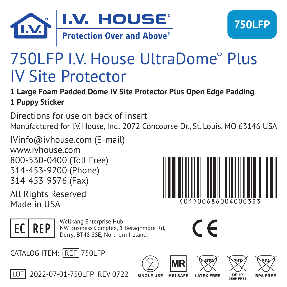

# 750LFP I.V. House UltraDome® Plus IV Site Protector

### **1 Large Foam Padded Dome IV Site Protector Plus Open Edge Padding 1 Puppy Sticker**

Directions for use on back of insert Manufactured for I.V. House, Inc., 2072 Concourse Dr., St. Louis, MO 63146 USA

IVinfo@ivhouse.com (E-mail) www.ivhouse.com 800-530-0400 (Toll Free) 314-453-9200 (Phone) 314-453-9576 (Fax)

All Rights Reserved Made in USA

1) 006860040003



Wellkang Enterprise Hub,<br> **EC REP** NW Business Complex, 1 Beraghmore Rd, Derry, BT48 8SE, Northern Ireland.



CATALOG ITEM: REF 750LFP



LOT 2022-07-01-750LFP REV 0722